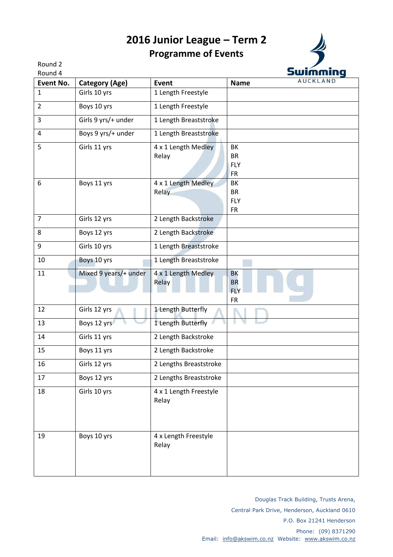## **2016 Junior League – Term 2 Programme of Events**